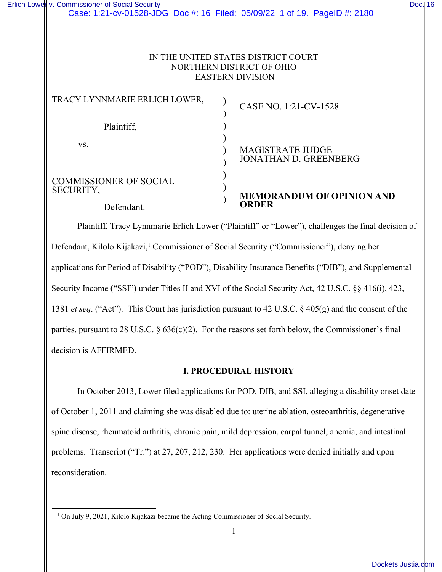# NORTHERN DISTRICT OF OHIO EASTERN DIVISION

| TRACY LYNNMARIE ERLICH LOWER,              | CASE NO. 1:21-CV-1528                                   |
|--------------------------------------------|---------------------------------------------------------|
| Plaintiff,                                 |                                                         |
| VS.                                        | <b>MAGISTRATE JUDGE</b><br><b>JONATHAN D. GREENBERG</b> |
| <b>COMMISSIONER OF SOCIAL</b><br>SECURITY, | <b>MEMORANDUM OF OPINION AND</b>                        |
| Defendant.                                 |                                                         |

Plaintiff, Tracy Lynnmarie Erlich Lower ("Plaintiff" or "Lower"), challenges the final decision of Defendant, Kilolo Kijakazi,<sup>[1](#page-0-0)</sup> Commissioner of Social Security ("Commissioner"), denying her applications for Period of Disability ("POD"), Disability Insurance Benefits ("DIB"), and Supplemental Security Income ("SSI") under Titles II and XVI of the Social Security Act, 42 U.S.C. §§ 416(i), 423, 1381 *et seq*. ("Act"). This Court has jurisdiction pursuant to 42 U.S.C. § 405(g) and the consent of the parties, pursuant to 28 U.S.C.  $\S 636(c)(2)$ . For the reasons set forth below, the Commissioner's final decision is AFFIRMED.

# **I. PROCEDURAL HISTORY**

In October 2013, Lower filed applications for POD, DIB, and SSI, alleging a disability onset date of October 1, 2011 and claiming she was disabled due to: uterine ablation, osteoarthritis, degenerative spine disease, rheumatoid arthritis, chronic pain, mild depression, carpal tunnel, anemia, and intestinal problems. Transcript ("Tr.") at 27, 207, 212, 230. Her applications were denied initially and upon reconsideration.

<span id="page-0-0"></span><sup>&</sup>lt;sup>1</sup> On July 9, 2021, Kilolo Kijakazi became the Acting Commissioner of Social Security.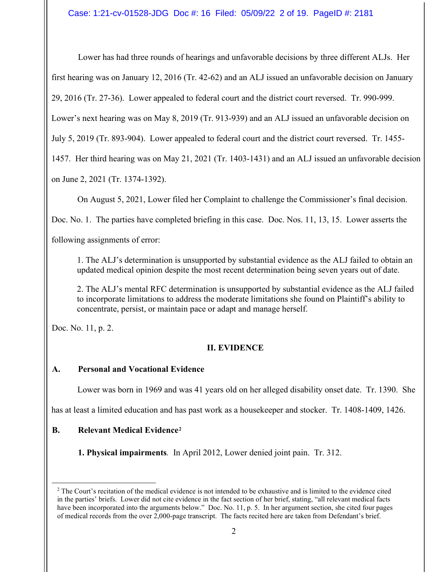Case: 1:21-cv-01528-JDG Doc #: 16 Filed: 05/09/22 2 of 19. PageID #: 2181

Lower has had three rounds of hearings and unfavorable decisions by three different ALJs. Her first hearing was on January 12, 2016 (Tr. 42-62) and an ALJ issued an unfavorable decision on January 29, 2016 (Tr. 27-36). Lower appealed to federal court and the district court reversed. Tr. 990-999.

Lower's next hearing was on May 8, 2019 (Tr. 913-939) and an ALJ issued an unfavorable decision on

July 5, 2019 (Tr. 893-904). Lower appealed to federal court and the district court reversed. Tr. 1455-

1457. Her third hearing was on May 21, 2021 (Tr. 1403-1431) and an ALJ issued an unfavorable decision

on June 2, 2021 (Tr. 1374-1392).

On August 5, 2021, Lower filed her Complaint to challenge the Commissioner's final decision.

Doc. No. 1. The parties have completed briefing in this case. Doc. Nos. 11, 13, 15. Lower asserts the

following assignments of error:

1. The ALJ's determination is unsupported by substantial evidence as the ALJ failed to obtain an updated medical opinion despite the most recent determination being seven years out of date.

2. The ALJ's mental RFC determination is unsupported by substantial evidence as the ALJ failed to incorporate limitations to address the moderate limitations she found on Plaintiff's ability to concentrate, persist, or maintain pace or adapt and manage herself.

Doc. No. 11, p. 2.

# **II. EVIDENCE**

# **A. Personal and Vocational Evidence**

Lower was born in 1969 and was 41 years old on her alleged disability onset date. Tr. 1390. She

has at least a limited education and has past work as a housekeeper and stocker. Tr. 1408-1409, 1426.

# **B. Relevant Medical Evidence[2](#page-1-0)**

**1. Physical impairments***.* In April 2012, Lower denied joint pain. Tr. 312.

<span id="page-1-0"></span><sup>&</sup>lt;sup>2</sup> The Court's recitation of the medical evidence is not intended to be exhaustive and is limited to the evidence cited in the parties' briefs. Lower did not cite evidence in the fact section of her brief, stating, "all relevant medical facts have been incorporated into the arguments below." Doc. No. 11, p. 5. In her argument section, she cited four pages of medical records from the over 2,000-page transcript. The facts recited here are taken from Defendant's brief.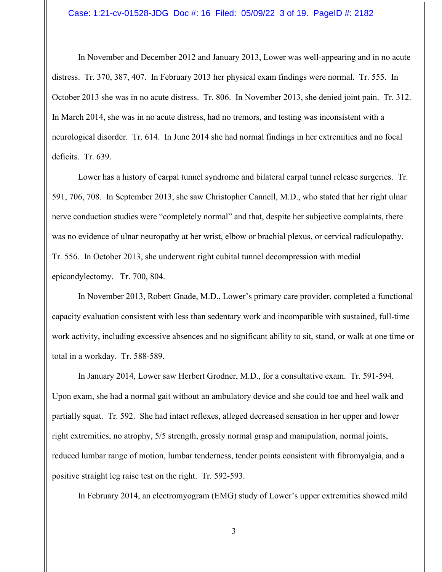In November and December 2012 and January 2013, Lower was well-appearing and in no acute distress. Tr. 370, 387, 407. In February 2013 her physical exam findings were normal. Tr. 555. In October 2013 she was in no acute distress. Tr. 806. In November 2013, she denied joint pain. Tr. 312. In March 2014, she was in no acute distress, had no tremors, and testing was inconsistent with a neurological disorder. Tr. 614. In June 2014 she had normal findings in her extremities and no focal deficits. Tr. 639.

 Lower has a history of carpal tunnel syndrome and bilateral carpal tunnel release surgeries. Tr. 591, 706, 708. In September 2013, she saw Christopher Cannell, M.D., who stated that her right ulnar nerve conduction studies were "completely normal" and that, despite her subjective complaints, there was no evidence of ulnar neuropathy at her wrist, elbow or brachial plexus, or cervical radiculopathy. Tr. 556. In October 2013, she underwent right cubital tunnel decompression with medial epicondylectomy. Tr. 700, 804.

 In November 2013, Robert Gnade, M.D., Lower's primary care provider, completed a functional capacity evaluation consistent with less than sedentary work and incompatible with sustained, full-time work activity, including excessive absences and no significant ability to sit, stand, or walk at one time or total in a workday. Tr. 588-589.

 In January 2014, Lower saw Herbert Grodner, M.D., for a consultative exam. Tr. 591-594. Upon exam, she had a normal gait without an ambulatory device and she could toe and heel walk and partially squat. Tr. 592. She had intact reflexes, alleged decreased sensation in her upper and lower right extremities, no atrophy, 5/5 strength, grossly normal grasp and manipulation, normal joints, reduced lumbar range of motion, lumbar tenderness, tender points consistent with fibromyalgia, and a positive straight leg raise test on the right. Tr. 592-593.

In February 2014, an electromyogram (EMG) study of Lower's upper extremities showed mild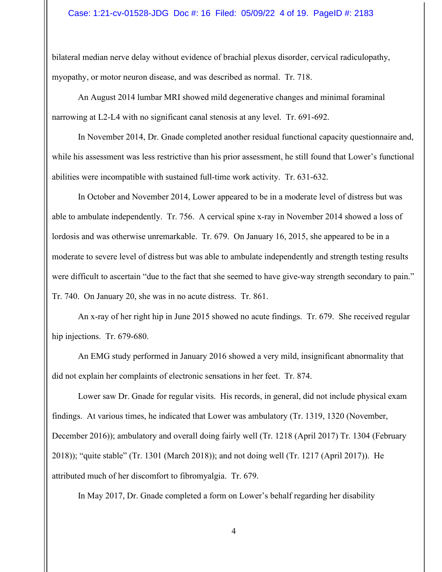## Case: 1:21-cv-01528-JDG Doc #: 16 Filed: 05/09/22 4 of 19. PageID #: 2183

bilateral median nerve delay without evidence of brachial plexus disorder, cervical radiculopathy, myopathy, or motor neuron disease, and was described as normal. Tr. 718.

An August 2014 lumbar MRI showed mild degenerative changes and minimal foraminal narrowing at L2-L4 with no significant canal stenosis at any level. Tr. 691-692.

 In November 2014, Dr. Gnade completed another residual functional capacity questionnaire and, while his assessment was less restrictive than his prior assessment, he still found that Lower's functional abilities were incompatible with sustained full-time work activity. Tr. 631-632.

In October and November 2014, Lower appeared to be in a moderate level of distress but was able to ambulate independently. Tr. 756. A cervical spine x-ray in November 2014 showed a loss of lordosis and was otherwise unremarkable. Tr. 679. On January 16, 2015, she appeared to be in a moderate to severe level of distress but was able to ambulate independently and strength testing results were difficult to ascertain "due to the fact that she seemed to have give-way strength secondary to pain." Tr. 740. On January 20, she was in no acute distress. Tr. 861.

An x-ray of her right hip in June 2015 showed no acute findings. Tr. 679. She received regular hip injections. Tr. 679-680.

An EMG study performed in January 2016 showed a very mild, insignificant abnormality that did not explain her complaints of electronic sensations in her feet. Tr. 874.

Lower saw Dr. Gnade for regular visits. His records, in general, did not include physical exam findings. At various times, he indicated that Lower was ambulatory (Tr. 1319, 1320 (November, December 2016)); ambulatory and overall doing fairly well (Tr. 1218 (April 2017) Tr. 1304 (February 2018)); "quite stable" (Tr. 1301 (March 2018)); and not doing well (Tr. 1217 (April 2017)). He attributed much of her discomfort to fibromyalgia. Tr. 679.

In May 2017, Dr. Gnade completed a form on Lower's behalf regarding her disability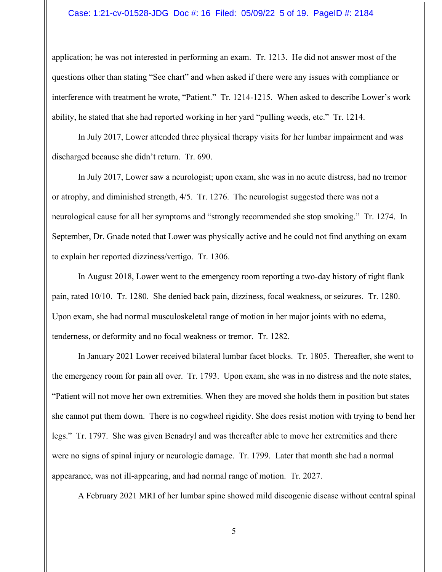## Case: 1:21-cv-01528-JDG Doc #: 16 Filed: 05/09/22 5 of 19. PageID #: 2184

application; he was not interested in performing an exam. Tr. 1213. He did not answer most of the questions other than stating "See chart" and when asked if there were any issues with compliance or interference with treatment he wrote, "Patient." Tr. 1214-1215. When asked to describe Lower's work ability, he stated that she had reported working in her yard "pulling weeds, etc." Tr. 1214.

 In July 2017, Lower attended three physical therapy visits for her lumbar impairment and was discharged because she didn't return. Tr. 690.

In July 2017, Lower saw a neurologist; upon exam, she was in no acute distress, had no tremor or atrophy, and diminished strength, 4/5. Tr. 1276. The neurologist suggested there was not a neurological cause for all her symptoms and "strongly recommended she stop smoking." Tr. 1274. In September, Dr. Gnade noted that Lower was physically active and he could not find anything on exam to explain her reported dizziness/vertigo. Tr. 1306.

 In August 2018, Lower went to the emergency room reporting a two-day history of right flank pain, rated 10/10. Tr. 1280. She denied back pain, dizziness, focal weakness, or seizures. Tr. 1280. Upon exam, she had normal musculoskeletal range of motion in her major joints with no edema, tenderness, or deformity and no focal weakness or tremor. Tr. 1282.

 In January 2021 Lower received bilateral lumbar facet blocks. Tr. 1805. Thereafter, she went to the emergency room for pain all over. Tr. 1793. Upon exam, she was in no distress and the note states, "Patient will not move her own extremities. When they are moved she holds them in position but states she cannot put them down. There is no cogwheel rigidity. She does resist motion with trying to bend her legs." Tr. 1797. She was given Benadryl and was thereafter able to move her extremities and there were no signs of spinal injury or neurologic damage. Tr. 1799. Later that month she had a normal appearance, was not ill-appearing, and had normal range of motion. Tr. 2027.

A February 2021 MRI of her lumbar spine showed mild discogenic disease without central spinal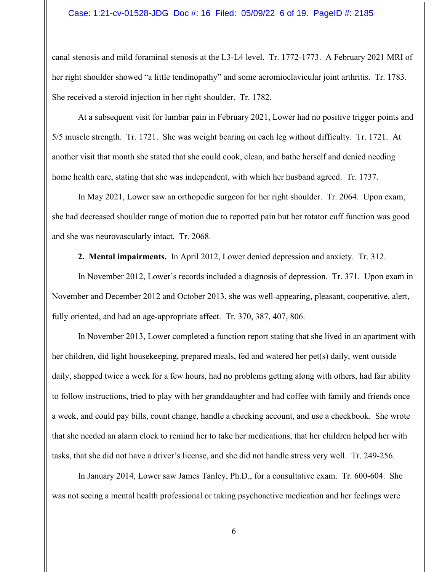## Case: 1:21-cv-01528-JDG Doc #: 16 Filed: 05/09/22 6 of 19. PageID #: 2185

canal stenosis and mild foraminal stenosis at the L3-L4 level. Tr. 1772-1773. A February 2021 MRI of her right shoulder showed "a little tendinopathy" and some acromioclavicular joint arthritis. Tr. 1783. She received a steroid injection in her right shoulder. Tr. 1782.

 At a subsequent visit for lumbar pain in February 2021, Lower had no positive trigger points and 5/5 muscle strength. Tr. 1721. She was weight bearing on each leg without difficulty. Tr. 1721. At another visit that month she stated that she could cook, clean, and bathe herself and denied needing home health care, stating that she was independent, with which her husband agreed. Tr. 1737.

 In May 2021, Lower saw an orthopedic surgeon for her right shoulder. Tr. 2064. Upon exam, she had decreased shoulder range of motion due to reported pain but her rotator cuff function was good and she was neurovascularly intact. Tr. 2068.

**2. Mental impairments.** In April 2012, Lower denied depression and anxiety. Tr. 312.

In November 2012, Lower's records included a diagnosis of depression. Tr. 371. Upon exam in November and December 2012 and October 2013, she was well-appearing, pleasant, cooperative, alert, fully oriented, and had an age-appropriate affect. Tr. 370, 387, 407, 806.

 In November 2013, Lower completed a function report stating that she lived in an apartment with her children, did light housekeeping, prepared meals, fed and watered her pet(s) daily, went outside daily, shopped twice a week for a few hours, had no problems getting along with others, had fair ability to follow instructions, tried to play with her granddaughter and had coffee with family and friends once a week, and could pay bills, count change, handle a checking account, and use a checkbook. She wrote that she needed an alarm clock to remind her to take her medications, that her children helped her with tasks, that she did not have a driver's license, and she did not handle stress very well. Tr. 249-256.

 In January 2014, Lower saw James Tanley, Ph.D., for a consultative exam. Tr. 600-604. She was not seeing a mental health professional or taking psychoactive medication and her feelings were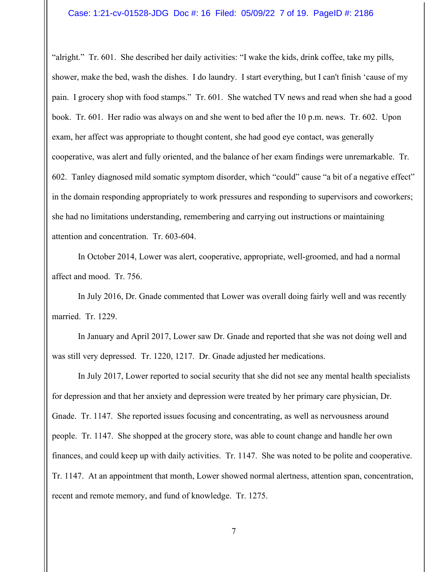## Case: 1:21-cv-01528-JDG Doc #: 16 Filed: 05/09/22 7 of 19. PageID #: 2186

"alright." Tr. 601. She described her daily activities: "I wake the kids, drink coffee, take my pills, shower, make the bed, wash the dishes. I do laundry. I start everything, but I can't finish 'cause of my pain. I grocery shop with food stamps." Tr. 601. She watched TV news and read when she had a good book. Tr. 601. Her radio was always on and she went to bed after the 10 p.m. news. Tr. 602. Upon exam, her affect was appropriate to thought content, she had good eye contact, was generally cooperative, was alert and fully oriented, and the balance of her exam findings were unremarkable. Tr. 602. Tanley diagnosed mild somatic symptom disorder, which "could" cause "a bit of a negative effect" in the domain responding appropriately to work pressures and responding to supervisors and coworkers; she had no limitations understanding, remembering and carrying out instructions or maintaining attention and concentration. Tr. 603-604.

 In October 2014, Lower was alert, cooperative, appropriate, well-groomed, and had a normal affect and mood. Tr. 756.

In July 2016, Dr. Gnade commented that Lower was overall doing fairly well and was recently married. Tr. 1229.

 In January and April 2017, Lower saw Dr. Gnade and reported that she was not doing well and was still very depressed. Tr. 1220, 1217. Dr. Gnade adjusted her medications.

 In July 2017, Lower reported to social security that she did not see any mental health specialists for depression and that her anxiety and depression were treated by her primary care physician, Dr. Gnade. Tr. 1147. She reported issues focusing and concentrating, as well as nervousness around people. Tr. 1147. She shopped at the grocery store, was able to count change and handle her own finances, and could keep up with daily activities. Tr. 1147. She was noted to be polite and cooperative. Tr. 1147. At an appointment that month, Lower showed normal alertness, attention span, concentration, recent and remote memory, and fund of knowledge. Tr. 1275.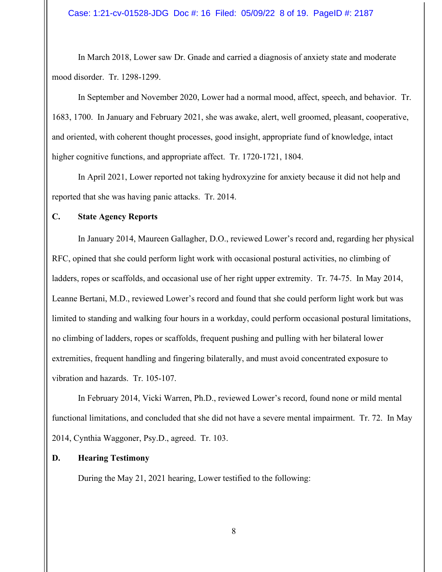In March 2018, Lower saw Dr. Gnade and carried a diagnosis of anxiety state and moderate mood disorder. Tr. 1298-1299.

 In September and November 2020, Lower had a normal mood, affect, speech, and behavior. Tr. 1683, 1700. In January and February 2021, she was awake, alert, well groomed, pleasant, cooperative, and oriented, with coherent thought processes, good insight, appropriate fund of knowledge, intact higher cognitive functions, and appropriate affect. Tr. 1720-1721, 1804.

 In April 2021, Lower reported not taking hydroxyzine for anxiety because it did not help and reported that she was having panic attacks. Tr. 2014.

# **C. State Agency Reports**

 In January 2014, Maureen Gallagher, D.O., reviewed Lower's record and, regarding her physical RFC, opined that she could perform light work with occasional postural activities, no climbing of ladders, ropes or scaffolds, and occasional use of her right upper extremity. Tr. 74-75. In May 2014, Leanne Bertani, M.D., reviewed Lower's record and found that she could perform light work but was limited to standing and walking four hours in a workday, could perform occasional postural limitations, no climbing of ladders, ropes or scaffolds, frequent pushing and pulling with her bilateral lower extremities, frequent handling and fingering bilaterally, and must avoid concentrated exposure to vibration and hazards. Tr. 105-107.

In February 2014, Vicki Warren, Ph.D., reviewed Lower's record, found none or mild mental functional limitations, and concluded that she did not have a severe mental impairment. Tr. 72. In May 2014, Cynthia Waggoner, Psy.D., agreed. Tr. 103.

# **D. Hearing Testimony**

During the May 21, 2021 hearing, Lower testified to the following: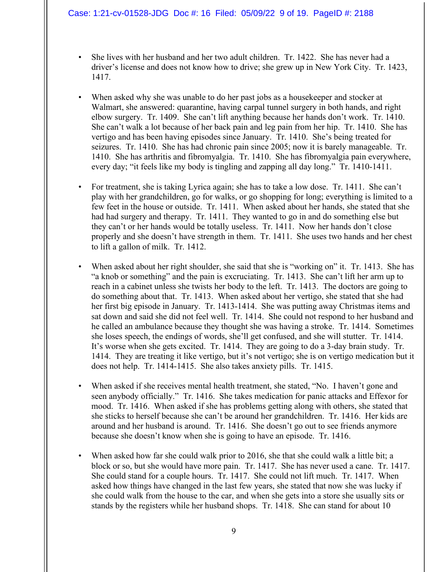## Case: 1:21-cv-01528-JDG Doc #: 16 Filed: 05/09/22 9 of 19. PageID #: 2188

- She lives with her husband and her two adult children. Tr. 1422. She has never had a driver's license and does not know how to drive; she grew up in New York City. Tr. 1423, 1417.
- When asked why she was unable to do her past jobs as a housekeeper and stocker at Walmart, she answered: quarantine, having carpal tunnel surgery in both hands, and right elbow surgery. Tr. 1409. She can't lift anything because her hands don't work. Tr. 1410. She can't walk a lot because of her back pain and leg pain from her hip. Tr. 1410. She has vertigo and has been having episodes since January. Tr. 1410. She's being treated for seizures. Tr. 1410. She has had chronic pain since 2005; now it is barely manageable. Tr. 1410. She has arthritis and fibromyalgia. Tr. 1410. She has fibromyalgia pain everywhere, every day; "it feels like my body is tingling and zapping all day long." Tr. 1410-1411.
- For treatment, she is taking Lyrica again; she has to take a low dose. Tr. 1411. She can't play with her grandchildren, go for walks, or go shopping for long; everything is limited to a few feet in the house or outside. Tr. 1411. When asked about her hands, she stated that she had had surgery and therapy. Tr. 1411. They wanted to go in and do something else but they can't or her hands would be totally useless. Tr. 1411. Now her hands don't close properly and she doesn't have strength in them. Tr. 1411. She uses two hands and her chest to lift a gallon of milk. Tr. 1412.
- When asked about her right shoulder, she said that she is "working on" it. Tr. 1413. She has "a knob or something" and the pain is excruciating. Tr. 1413. She can't lift her arm up to reach in a cabinet unless she twists her body to the left. Tr. 1413. The doctors are going to do something about that. Tr. 1413. When asked about her vertigo, she stated that she had her first big episode in January. Tr. 1413-1414. She was putting away Christmas items and sat down and said she did not feel well. Tr. 1414. She could not respond to her husband and he called an ambulance because they thought she was having a stroke. Tr. 1414. Sometimes she loses speech, the endings of words, she'll get confused, and she will stutter. Tr. 1414. It's worse when she gets excited. Tr. 1414. They are going to do a 3-day brain study. Tr. 1414. They are treating it like vertigo, but it's not vertigo; she is on vertigo medication but it does not help. Tr. 1414-1415. She also takes anxiety pills. Tr. 1415.
- When asked if she receives mental health treatment, she stated, "No. I haven't gone and seen anybody officially." Tr. 1416. She takes medication for panic attacks and Effexor for mood. Tr. 1416. When asked if she has problems getting along with others, she stated that she sticks to herself because she can't be around her grandchildren. Tr. 1416. Her kids are around and her husband is around. Tr. 1416. She doesn't go out to see friends anymore because she doesn't know when she is going to have an episode. Tr. 1416.
- When asked how far she could walk prior to 2016, she that she could walk a little bit; a block or so, but she would have more pain. Tr. 1417. She has never used a cane. Tr. 1417. She could stand for a couple hours. Tr. 1417. She could not lift much. Tr. 1417. When asked how things have changed in the last few years, she stated that now she was lucky if she could walk from the house to the car, and when she gets into a store she usually sits or stands by the registers while her husband shops. Tr. 1418. She can stand for about 10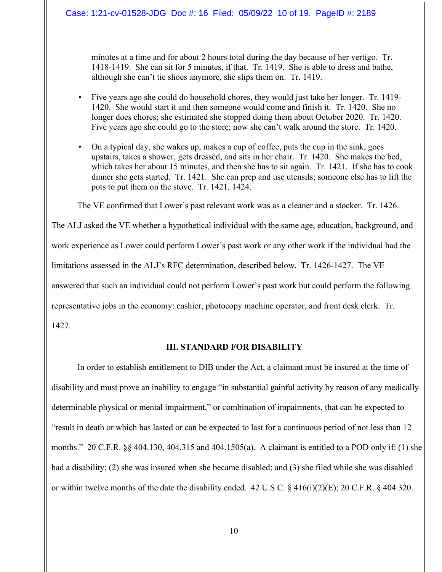## Case: 1:21-cv-01528-JDG Doc #: 16 Filed: 05/09/22 10 of 19. PageID #: 2189

minutes at a time and for about 2 hours total during the day because of her vertigo. Tr. 1418-1419. She can sit for 5 minutes, if that. Tr. 1419. She is able to dress and bathe, although she can't tie shoes anymore, she slips them on. Tr. 1419.

- Five years ago she could do household chores, they would just take her longer. Tr. 1419- 1420. She would start it and then someone would come and finish it. Tr. 1420. She no longer does chores; she estimated she stopped doing them about October 2020. Tr. 1420. Five years ago she could go to the store; now she can't walk around the store. Tr. 1420.
- On a typical day, she wakes up, makes a cup of coffee, puts the cup in the sink, goes upstairs, takes a shower, gets dressed, and sits in her chair. Tr. 1420. She makes the bed, which takes her about 15 minutes, and then she has to sit again. Tr. 1421. If she has to cook dinner she gets started. Tr. 1421. She can prep and use utensils; someone else has to lift the pots to put them on the stove. Tr. 1421, 1424.

The VE confirmed that Lower's past relevant work was as a cleaner and a stocker. Tr. 1426.

The ALJ asked the VE whether a hypothetical individual with the same age, education, background, and work experience as Lower could perform Lower's past work or any other work if the individual had the limitations assessed in the ALJ's RFC determination, described below. Tr. 1426-1427. The VE answered that such an individual could not perform Lower's past work but could perform the following representative jobs in the economy: cashier, photocopy machine operator, and front desk clerk. Tr. 1427.

## **III. STANDARD FOR DISABILITY**

In order to establish entitlement to DIB under the Act, a claimant must be insured at the time of disability and must prove an inability to engage "in substantial gainful activity by reason of any medically determinable physical or mental impairment," or combination of impairments, that can be expected to "result in death or which has lasted or can be expected to last for a continuous period of not less than 12 months." 20 C.F.R. §§ 404.130, 404.315 and 404.1505(a). A claimant is entitled to a POD only if: (1) she had a disability; (2) she was insured when she became disabled; and (3) she filed while she was disabled or within twelve months of the date the disability ended. 42 U.S.C. § 416(i)(2)(E); 20 C.F.R. § 404.320.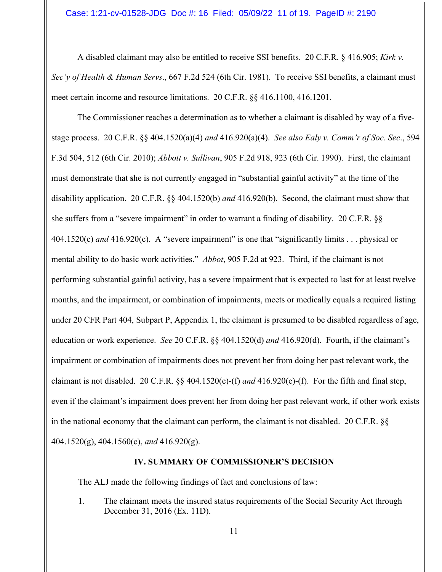A disabled claimant may also be entitled to receive SSI benefits. 20 C.F.R. § 416.905; *Kirk v. Sec'y of Health & Human Servs*., 667 F.2d 524 (6th Cir. 1981). To receive SSI benefits, a claimant must meet certain income and resource limitations. 20 C.F.R. §§ 416.1100, 416.1201.

The Commissioner reaches a determination as to whether a claimant is disabled by way of a fivestage process. 20 C.F.R. §§ 404.1520(a)(4) *and* 416.920(a)(4). *See also Ealy v. Comm'r of Soc. Sec*., 594 F.3d 504, 512 (6th Cir. 2010); *Abbott v. Sullivan*, 905 F.2d 918, 923 (6th Cir. 1990). First, the claimant must demonstrate that **s**he is not currently engaged in "substantial gainful activity" at the time of the disability application. 20 C.F.R. §§ 404.1520(b) *and* 416.920(b). Second, the claimant must show that she suffers from a "severe impairment" in order to warrant a finding of disability. 20 C.F.R. §§ 404.1520(c) *and* 416.920(c). A "severe impairment" is one that "significantly limits . . . physical or mental ability to do basic work activities." *Abbot*, 905 F.2d at 923. Third, if the claimant is not performing substantial gainful activity, has a severe impairment that is expected to last for at least twelve months, and the impairment, or combination of impairments, meets or medically equals a required listing under 20 CFR Part 404, Subpart P, Appendix 1, the claimant is presumed to be disabled regardless of age, education or work experience. *See* 20 C.F.R. §§ 404.1520(d) *and* 416.920(d). Fourth, if the claimant's impairment or combination of impairments does not prevent her from doing her past relevant work, the claimant is not disabled. 20 C.F.R. §§ 404.1520(e)-(f) *and* 416.920(e)-(f). For the fifth and final step, even if the claimant's impairment does prevent her from doing her past relevant work, if other work exists in the national economy that the claimant can perform, the claimant is not disabled. 20 C.F.R. §§ 404.1520(g), 404.1560(c), *and* 416.920(g).

## **IV. SUMMARY OF COMMISSIONER'S DECISION**

The ALJ made the following findings of fact and conclusions of law:

1. The claimant meets the insured status requirements of the Social Security Act through December 31, 2016 (Ex. 11D).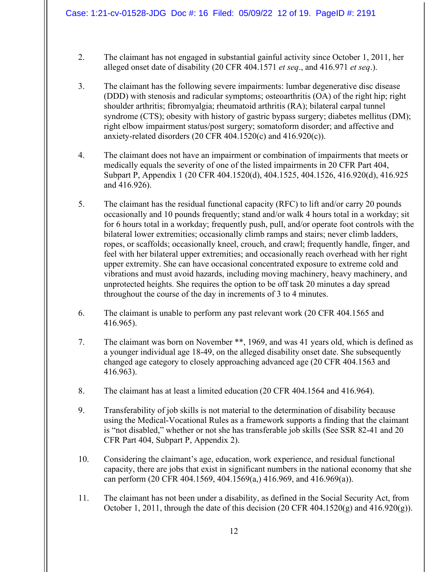- 2. The claimant has not engaged in substantial gainful activity since October 1, 2011, her alleged onset date of disability (20 CFR 404.1571 *et seq*., and 416.971 *et seq*.).
- 3. The claimant has the following severe impairments: lumbar degenerative disc disease (DDD) with stenosis and radicular symptoms; osteoarthritis (OA) of the right hip; right shoulder arthritis; fibromyalgia; rheumatoid arthritis (RA); bilateral carpal tunnel syndrome (CTS); obesity with history of gastric bypass surgery; diabetes mellitus (DM); right elbow impairment status/post surgery; somatoform disorder; and affective and anxiety-related disorders (20 CFR 404.1520(c) and 416.920(c)).
- 4. The claimant does not have an impairment or combination of impairments that meets or medically equals the severity of one of the listed impairments in 20 CFR Part 404, Subpart P, Appendix 1 (20 CFR 404.1520(d), 404.1525, 404.1526, 416.920(d), 416.925 and 416.926).
- 5. The claimant has the residual functional capacity (RFC) to lift and/or carry 20 pounds occasionally and 10 pounds frequently; stand and/or walk 4 hours total in a workday; sit for 6 hours total in a workday; frequently push, pull, and/or operate foot controls with the bilateral lower extremities; occasionally climb ramps and stairs; never climb ladders, ropes, or scaffolds; occasionally kneel, crouch, and crawl; frequently handle, finger, and feel with her bilateral upper extremities; and occasionally reach overhead with her right upper extremity. She can have occasional concentrated exposure to extreme cold and vibrations and must avoid hazards, including moving machinery, heavy machinery, and unprotected heights. She requires the option to be off task 20 minutes a day spread throughout the course of the day in increments of 3 to 4 minutes.
- 6. The claimant is unable to perform any past relevant work (20 CFR 404.1565 and 416.965).
- 7. The claimant was born on November \*\*, 1969, and was 41 years old, which is defined as a younger individual age 18-49, on the alleged disability onset date. She subsequently changed age category to closely approaching advanced age (20 CFR 404.1563 and 416.963).
- 8. The claimant has at least a limited education (20 CFR 404.1564 and 416.964).
- 9. Transferability of job skills is not material to the determination of disability because using the Medical-Vocational Rules as a framework supports a finding that the claimant is "not disabled," whether or not she has transferable job skills (See SSR 82-41 and 20 CFR Part 404, Subpart P, Appendix 2).
- 10. Considering the claimant's age, education, work experience, and residual functional capacity, there are jobs that exist in significant numbers in the national economy that she can perform (20 CFR 404.1569, 404.1569(a,) 416.969, and 416.969(a)).
- 11. The claimant has not been under a disability, as defined in the Social Security Act, from October 1, 2011, through the date of this decision  $(20 \text{ CFR } 404.1520(g)$  and  $416.920(g)$ ).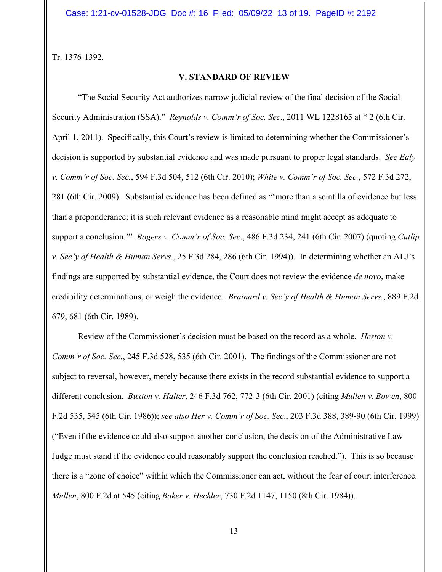Tr. 1376-1392.

## **V. STANDARD OF REVIEW**

 "The Social Security Act authorizes narrow judicial review of the final decision of the Social Security Administration (SSA)." *Reynolds v. Comm'r of Soc. Sec*., 2011 WL 1228165 at \* 2 (6th Cir. April 1, 2011). Specifically, this Court's review is limited to determining whether the Commissioner's decision is supported by substantial evidence and was made pursuant to proper legal standards. *See Ealy v. Comm'r of Soc. Sec.*, 594 F.3d 504, 512 (6th Cir. 2010); *White v. Comm'r of Soc. Sec.*, 572 F.3d 272, 281 (6th Cir. 2009). Substantial evidence has been defined as "'more than a scintilla of evidence but less than a preponderance; it is such relevant evidence as a reasonable mind might accept as adequate to support a conclusion.'" *Rogers v. Comm'r of Soc. Sec*., 486 F.3d 234, 241 (6th Cir. 2007) (quoting *Cutlip v. Sec'y of Health & Human Servs*., 25 F.3d 284, 286 (6th Cir. 1994)). In determining whether an ALJ's findings are supported by substantial evidence, the Court does not review the evidence *de novo*, make credibility determinations, or weigh the evidence. *Brainard v. Sec'y of Health & Human Servs.*, 889 F.2d 679, 681 (6th Cir. 1989).

 Review of the Commissioner's decision must be based on the record as a whole. *Heston v. Comm'r of Soc. Sec.*, 245 F.3d 528, 535 (6th Cir. 2001). The findings of the Commissioner are not subject to reversal, however, merely because there exists in the record substantial evidence to support a different conclusion. *Buxton v. Halter*, 246 F.3d 762, 772-3 (6th Cir. 2001) (citing *Mullen v. Bowen*, 800 F.2d 535, 545 (6th Cir. 1986)); *see also Her v. Comm'r of Soc. Sec*., 203 F.3d 388, 389-90 (6th Cir. 1999) ("Even if the evidence could also support another conclusion, the decision of the Administrative Law Judge must stand if the evidence could reasonably support the conclusion reached."). This is so because there is a "zone of choice" within which the Commissioner can act, without the fear of court interference. *Mullen*, 800 F.2d at 545 (citing *Baker v. Heckler*, 730 F.2d 1147, 1150 (8th Cir. 1984)).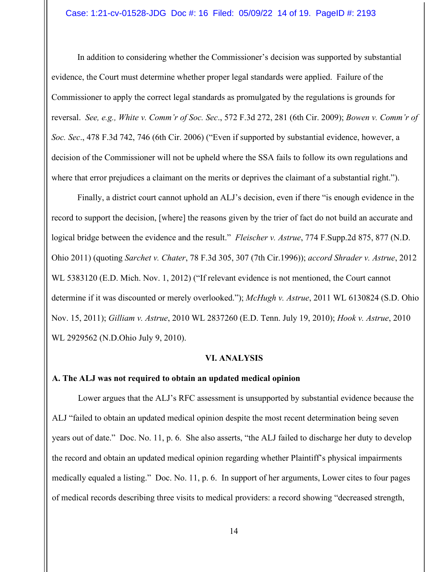## Case: 1:21-cv-01528-JDG Doc #: 16 Filed: 05/09/22 14 of 19. PageID #: 2193

In addition to considering whether the Commissioner's decision was supported by substantial evidence, the Court must determine whether proper legal standards were applied. Failure of the Commissioner to apply the correct legal standards as promulgated by the regulations is grounds for reversal. *See, e.g., White v. Comm'r of Soc. Sec*., 572 F.3d 272, 281 (6th Cir. 2009); *Bowen v. Comm'r of Soc. Sec*., 478 F.3d 742, 746 (6th Cir. 2006) ("Even if supported by substantial evidence, however, a decision of the Commissioner will not be upheld where the SSA fails to follow its own regulations and where that error prejudices a claimant on the merits or deprives the claimant of a substantial right.").

Finally, a district court cannot uphold an ALJ's decision, even if there "is enough evidence in the record to support the decision, [where] the reasons given by the trier of fact do not build an accurate and logical bridge between the evidence and the result." *Fleischer v. Astrue*, 774 F.Supp.2d 875, 877 (N.D. Ohio 2011) (quoting *Sarchet v. Chater*, 78 F.3d 305, 307 (7th Cir.1996)); *accord Shrader v. Astrue*, 2012 WL 5383120 (E.D. Mich. Nov. 1, 2012) ("If relevant evidence is not mentioned, the Court cannot determine if it was discounted or merely overlooked."); *McHugh v. Astrue*, 2011 WL 6130824 (S.D. Ohio Nov. 15, 2011); *Gilliam v. Astrue*, 2010 WL 2837260 (E.D. Tenn. July 19, 2010); *Hook v. Astrue*, 2010 WL 2929562 (N.D.Ohio July 9, 2010).

## **VI. ANALYSIS**

## **A. The ALJ was not required to obtain an updated medical opinion**

 Lower argues that the ALJ's RFC assessment is unsupported by substantial evidence because the ALJ "failed to obtain an updated medical opinion despite the most recent determination being seven years out of date." Doc. No. 11, p. 6. She also asserts, "the ALJ failed to discharge her duty to develop the record and obtain an updated medical opinion regarding whether Plaintiff's physical impairments medically equaled a listing." Doc. No. 11, p. 6. In support of her arguments, Lower cites to four pages of medical records describing three visits to medical providers: a record showing "decreased strength,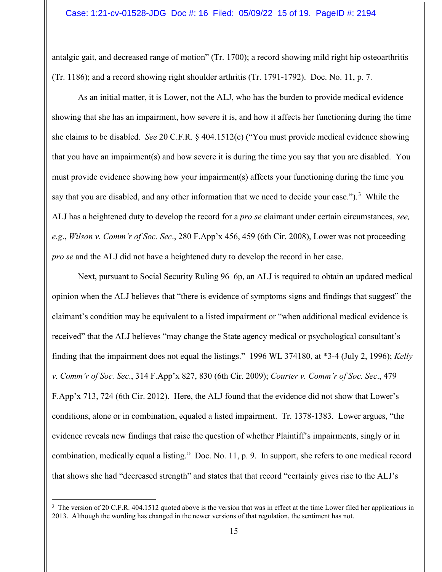## Case: 1:21-cv-01528-JDG Doc #: 16 Filed: 05/09/22 15 of 19. PageID #: 2194

antalgic gait, and decreased range of motion" (Tr. 1700); a record showing mild right hip osteoarthritis (Tr. 1186); and a record showing right shoulder arthritis (Tr. 1791-1792). Doc. No. 11, p. 7.

As an initial matter, it is Lower, not the ALJ, who has the burden to provide medical evidence showing that she has an impairment, how severe it is, and how it affects her functioning during the time she claims to be disabled. *See* 20 C.F.R. § 404.1512(c) ("You must provide medical evidence showing that you have an impairment(s) and how severe it is during the time you say that you are disabled. You must provide evidence showing how your impairment(s) affects your functioning during the time you say that you are disabled, and any other information that we need to decide your case.").<sup>[3](#page-14-0)</sup> While the ALJ has a heightened duty to develop the record for a *pro se* claimant under certain circumstances, *see, e.g*., *Wilson v. Comm'r of Soc. Sec*., 280 F.App'x 456, 459 (6th Cir. 2008), Lower was not proceeding *pro se* and the ALJ did not have a heightened duty to develop the record in her case.

Next, pursuant to Social Security Ruling 96–6p, an ALJ is required to obtain an updated medical opinion when the ALJ believes that "there is evidence of symptoms signs and findings that suggest" the claimant's condition may be equivalent to a listed impairment or "when additional medical evidence is received" that the ALJ believes "may change the State agency medical or psychological consultant's finding that the impairment does not equal the listings." 1996 WL 374180, at \*3-4 (July 2, 1996); *Kelly v. Comm'r of Soc. Sec*., 314 F.App'x 827, 830 (6th Cir. 2009); *Courter v. Comm'r of Soc. Sec*., 479 F.App'x 713, 724 (6th Cir. 2012). Here, the ALJ found that the evidence did not show that Lower's conditions, alone or in combination, equaled a listed impairment. Tr. 1378-1383. Lower argues, "the evidence reveals new findings that raise the question of whether Plaintiff's impairments, singly or in combination, medically equal a listing." Doc. No. 11, p. 9. In support, she refers to one medical record that shows she had "decreased strength" and states that that record "certainly gives rise to the ALJ's

<span id="page-14-0"></span><sup>&</sup>lt;sup>3</sup> The version of 20 C.F.R. 404.1512 quoted above is the version that was in effect at the time Lower filed her applications in 2013. Although the wording has changed in the newer versions of that regulation, the sentiment has not.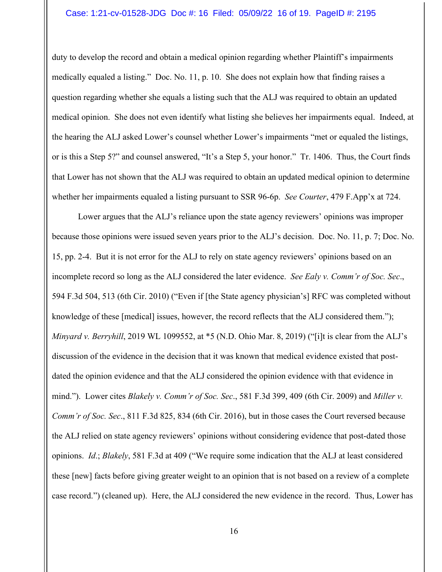## Case: 1:21-cv-01528-JDG Doc #: 16 Filed: 05/09/22 16 of 19. PageID #: 2195

duty to develop the record and obtain a medical opinion regarding whether Plaintiff's impairments medically equaled a listing." Doc. No. 11, p. 10. She does not explain how that finding raises a question regarding whether she equals a listing such that the ALJ was required to obtain an updated medical opinion. She does not even identify what listing she believes her impairments equal. Indeed, at the hearing the ALJ asked Lower's counsel whether Lower's impairments "met or equaled the listings, or is this a Step 5?" and counsel answered, "It's a Step 5, your honor." Tr. 1406. Thus, the Court finds that Lower has not shown that the ALJ was required to obtain an updated medical opinion to determine whether her impairments equaled a listing pursuant to SSR 96-6p. *See Courter*, 479 F.App'x at 724.

 Lower argues that the ALJ's reliance upon the state agency reviewers' opinions was improper because those opinions were issued seven years prior to the ALJ's decision. Doc. No. 11, p. 7; Doc. No. 15, pp. 2-4. But it is not error for the ALJ to rely on state agency reviewers' opinions based on an incomplete record so long as the ALJ considered the later evidence. *See Ealy v. Comm'r of Soc. Sec*., 594 F.3d 504, 513 (6th Cir. 2010) ("Even if [the State agency physician's] RFC was completed without knowledge of these [medical] issues, however, the record reflects that the ALJ considered them."); *Minyard v. Berryhill*, 2019 WL 1099552, at \*5 (N.D. Ohio Mar. 8, 2019) ("[i]t is clear from the ALJ's discussion of the evidence in the decision that it was known that medical evidence existed that postdated the opinion evidence and that the ALJ considered the opinion evidence with that evidence in mind."). Lower cites *Blakely v. Comm'r of Soc. Sec*., 581 F.3d 399, 409 (6th Cir. 2009) and *Miller v. Comm'r of Soc. Sec*., 811 F.3d 825, 834 (6th Cir. 2016), but in those cases the Court reversed because the ALJ relied on state agency reviewers' opinions without considering evidence that post-dated those opinions. *Id*.; *Blakely*, 581 F.3d at 409 ("We require some indication that the ALJ at least considered these [new] facts before giving greater weight to an opinion that is not based on a review of a complete case record.") (cleaned up). Here, the ALJ considered the new evidence in the record. Thus, Lower has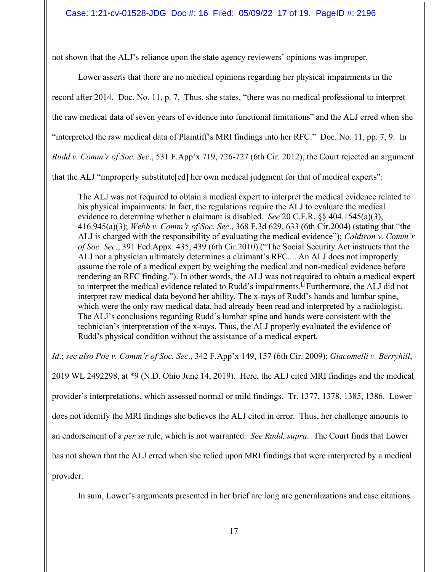not shown that the ALJ's reliance upon the state agency reviewers' opinions was improper.

Lower asserts that there are no medical opinions regarding her physical impairments in the

record after 2014. Doc. No. 11, p. 7. Thus, she states, "there was no medical professional to interpret

the raw medical data of seven years of evidence into functional limitations" and the ALJ erred when she

"interpreted the raw medical data of Plaintiff's MRI findings into her RFC." Doc. No. 11, pp. 7, 9. In

*Rudd v. Comm'r of Soc. Sec*., 531 F.App'x 719, 726-727 (6th Cir. 2012), the Court rejected an argument

that the ALJ "improperly substitute[ed] her own medical judgment for that of medical experts":

The ALJ was not required to obtain a medical expert to interpret the medical evidence related to his physical impairments. In fact, the regulations require the ALJ to evaluate the medical evidence to determine whether a claimant is disabled. *See* 20 C.F.R. §§ 404.1545(a)(3), 416.945(a)(3); *Webb v. Comm'r of Soc. Sec*., 368 F.3d 629, 633 (6th Cir.2004) (stating that "the ALJ is charged with the responsibility of evaluating the medical evidence"); *Coldiron v. Comm'r of Soc. Sec*., 391 Fed.Appx. 435, 439 (6th Cir.2010) ("The Social Security Act instructs that the ALJ not a physician ultimately determines a claimant's RFC.... An ALJ does not improperly assume the role of a medical expert by weighing the medical and non-medical evidence before rendering an RFC finding."). In other words, the ALJ was not required to obtain a medical expert to interpret the medical evidence related to Rudd's impairments.<sup>[]</sup> Furthermore, the ALJ did not interpret raw medical data beyond her ability. The x-rays of Rudd's hands and lumbar spine, which were the only raw medical data, had already been read and interpreted by a radiologist. The ALJ's conclusions regarding Rudd's lumbar spine and hands were consistent with the technician's interpretation of the x-rays. Thus, the ALJ properly evaluated the evidence of Rudd's physical condition without the assistance of a medical expert.

*Id*.; *see also Poe v. Comm'r of Soc. Sec*., 342 F.App'x 149, 157 (6th Cir. 2009); *Giacomelli v. Berryhill*, 2019 WL 2492298, at \*9 (N.D. Ohio June 14, 2019). Here, the ALJ cited MRI findings and the medical provider's interpretations, which assessed normal or mild findings. Tr. 1377, 1378, 1385, 1386. Lower does not identify the MRI findings she believes the ALJ cited in error. Thus, her challenge amounts to an endorsement of a *per se* rule, which is not warranted. *See Rudd, supra*. The Court finds that Lower has not shown that the ALJ erred when she relied upon MRI findings that were interpreted by a medical provider.

In sum, Lower's arguments presented in her brief are long are generalizations and case citations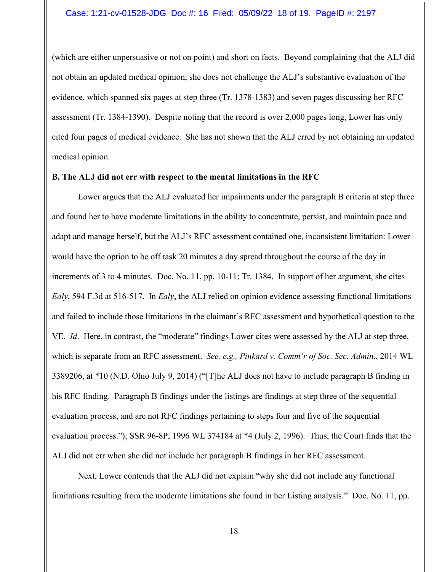#### Case: 1:21-cv-01528-JDG Doc #: 16 Filed: 05/09/22 18 of 19. PageID #: 2197

(which are either unpersuasive or not on point) and short on facts. Beyond complaining that the ALJ did not obtain an updated medical opinion, she does not challenge the ALJ's substantive evaluation of the evidence, which spanned six pages at step three (Tr. 1378-1383) and seven pages discussing her RFC assessment (Tr. 1384-1390). Despite noting that the record is over 2,000 pages long, Lower has only cited four pages of medical evidence. She has not shown that the ALJ erred by not obtaining an updated medical opinion.

#### **B. The ALJ did not err with respect to the mental limitations in the RFC**

Lower argues that the ALJ evaluated her impairments under the paragraph B criteria at step three and found her to have moderate limitations in the ability to concentrate, persist, and maintain pace and adapt and manage herself, but the ALJ's RFC assessment contained one, inconsistent limitation: Lower would have the option to be off task 20 minutes a day spread throughout the course of the day in increments of 3 to 4 minutes. Doc. No. 11, pp. 10-11; Tr. 1384. In support of her argument, she cites *Ealy*, 594 F.3d at 516-517. In *Ealy*, the ALJ relied on opinion evidence assessing functional limitations and failed to include those limitations in the claimant's RFC assessment and hypothetical question to the VE. *Id*. Here, in contrast, the "moderate" findings Lower cites were assessed by the ALJ at step three, which is separate from an RFC assessment. *See, e.g., Pinkard v. Comm'r of Soc. Sec. Admin*., 2014 WL 3389206, at \*10 (N.D. Ohio July 9, 2014) ("[T]he ALJ does not have to include paragraph B finding in his RFC finding. Paragraph B findings under the listings are findings at step three of the sequential evaluation process, and are not RFC findings pertaining to steps four and five of the sequential evaluation process."); SSR 96-8P, 1996 WL 374184 at \*4 (July 2, 1996). Thus, the Court finds that the ALJ did not err when she did not include her paragraph B findings in her RFC assessment.

 Next, Lower contends that the ALJ did not explain "why she did not include any functional limitations resulting from the moderate limitations she found in her Listing analysis." Doc. No. 11, pp.